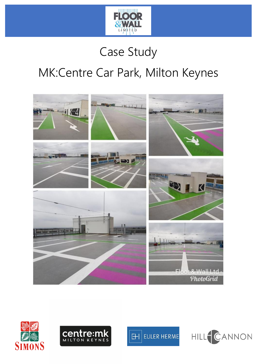

# Case Study

# MK:Centre Car Park, Milton Keynes







**EULER HERME**  $\mathbb H$ 

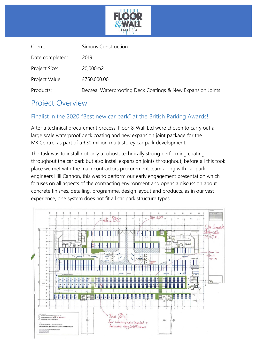

| Simons Construction                                        |
|------------------------------------------------------------|
| 2019                                                       |
| 20,000m2                                                   |
| £750,000.00                                                |
| Decseal Waterproofing Deck Coatings & New Expansion Joints |
|                                                            |

### Project Overview

#### Finalist in the 2020 "Best new car park" at the British Parking Awards!

After a technical procurement process, Floor & Wall Ltd were chosen to carry out a large scale waterproof deck coating and new expansion joint package for the MK:Centre, as part of a £30 million multi storey car park development.

The task was to install not only a robust, technically strong performing coating throughout the car park but also install expansion joints throughout, before all this took place we met with the main contractors procurement team along with car park engineers Hill Cannon, this was to perform our early engagement presentation which focuses on all aspects of the contracting environment and opens a discussion about concrete finishes, detailing, programme, design layout and products, as in our vast experience, one system does not fit all car park structure types

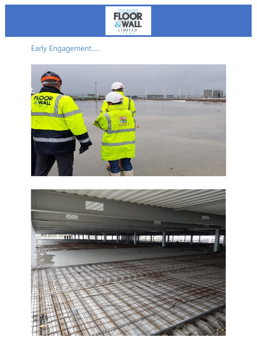

# Early Engagement.....



![](_page_2_Picture_3.jpeg)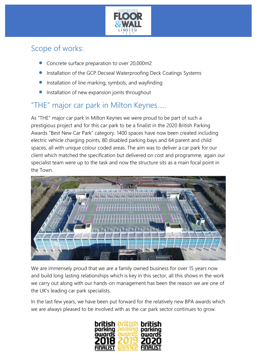![](_page_3_Picture_0.jpeg)

### Scope of works:

- Concrete surface preparation to over 20,000m2
- Installation of the GCP Decseal Waterproofing Deck Coatings Systems
- Installation of line marking, symbols, and wayfinding
- Installation of new expansion joints throughout

## "THE" major car park in Milton Keynes…..

As "THE" major car park in Milton Keynes we were proud to be part of such a prestigious project and for this car park to be a finalist in the 2020 British Parking Awards "Best New Car Park" category. 1400 spaces have now been created including electric vehicle charging points, 80 disabled parking bays and 64 parent and child spaces, all with unique colour coded areas. The aim was to deliver a car park for our client which matched the specification but delivered on cost and programme, again our specialist team were up to the task and now the structure sits as a main focal point in the Town.

![](_page_3_Picture_8.jpeg)

We are immensely proud that we are a family owned business for over 15 years now and build long lasting relationships which is key in this sector, all this shows in the work we carry out along with our hands-on management has been the reason we are one of the UK's leading car park specialists.

In the last few years, we have been put forward for the relatively new BPA awards which we are always pleased to be involved with as the car park sector continues to grow.

![](_page_3_Picture_11.jpeg)